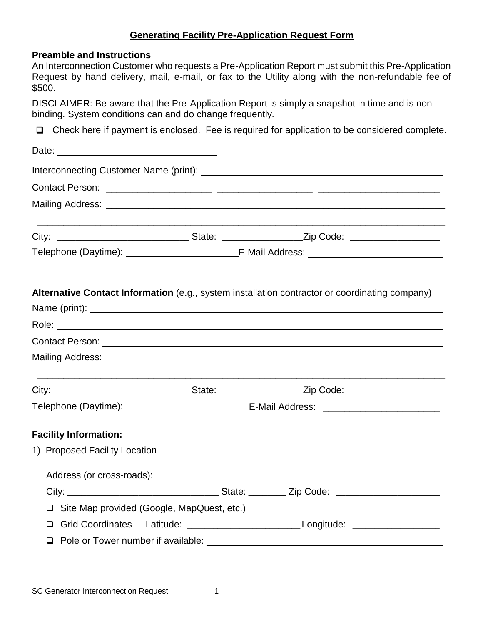### **Generating Facility Pre-Application Request Form**

#### **Preamble and Instructions**

An Interconnection Customer who requests a Pre-Application Report must submit this Pre-Application Request by hand delivery, mail, e-mail, or fax to the Utility along with the non-refundable fee of \$500.

DISCLAIMER: Be aware that the Pre-Application Report is simply a snapshot in time and is nonbinding. System conditions can and do change frequently.

 $\Box$  Check here if payment is enclosed. Fee is required for application to be considered complete.

|                                              | Telephone (Daytime): ____________________________E-Mail Address: __________________________________ |
|----------------------------------------------|-----------------------------------------------------------------------------------------------------|
|                                              | Alternative Contact Information (e.g., system installation contractor or coordinating company)      |
|                                              |                                                                                                     |
|                                              |                                                                                                     |
|                                              |                                                                                                     |
|                                              |                                                                                                     |
|                                              |                                                                                                     |
|                                              | Telephone (Daytime): _________________________________E-Mail Address: _____________________________ |
| <b>Facility Information:</b>                 |                                                                                                     |
| 1) Proposed Facility Location                |                                                                                                     |
|                                              |                                                                                                     |
|                                              |                                                                                                     |
| □ Site Map provided (Google, MapQuest, etc.) |                                                                                                     |
|                                              | □ Grid Coordinates - Latitude: ________________________________Longitude: _________________________ |
|                                              |                                                                                                     |
|                                              |                                                                                                     |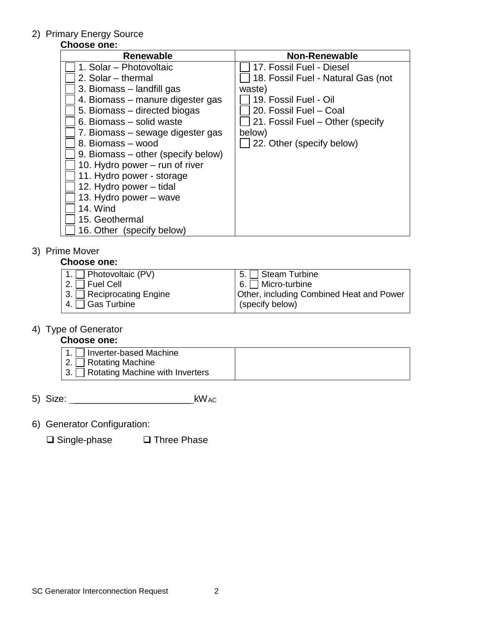#### 2) Primary Energy Source

## **Choose one:**

| <b>Renewable</b>                   | <b>Non-Renewable</b>               |
|------------------------------------|------------------------------------|
| 1. Solar – Photovoltaic            | 17. Fossil Fuel - Diesel           |
| 2. Solar – thermal                 | 18. Fossil Fuel - Natural Gas (not |
| 3. Biomass – landfill gas          | waste)                             |
| 4. Biomass – manure digester gas   | 19. Fossil Fuel - Oil              |
| 5. Biomass – directed biogas       | 20. Fossil Fuel - Coal             |
| 6. Biomass - solid waste           | 21. Fossil Fuel – Other (specify   |
| 7. Biomass – sewage digester gas   | below)                             |
| 8. Biomass - wood                  | 22. Other (specify below)          |
| 9. Biomass – other (specify below) |                                    |
| 10. Hydro power – run of river     |                                    |
| 11. Hydro power - storage          |                                    |
| 12. Hydro power – tidal            |                                    |
| 13. Hydro power – wave             |                                    |
| 14. Wind                           |                                    |
| 15. Geothermal                     |                                    |
| 16. Other (specify below)          |                                    |

## 3) Prime Mover

#### **Choose one:**

| 1. Photovoltaic $(PV)$  | $5. \Box$ Steam Turbine                  |
|-------------------------|------------------------------------------|
| 2. $\Box$ Fuel Cell     | $6. \Box$ Micro-turbine                  |
| 3. Reciprocating Engine | Other, including Combined Heat and Power |
| 4. $\Box$ Gas Turbine   | (specify below)                          |

#### 4) Type of Generator

### **Choose one:**

| 1. $\Box$ Inverter-based Machine<br>$'$ 2. $\Box$ Rotating Machine<br>13. Rotating Machine with Inverters |  |
|-----------------------------------------------------------------------------------------------------------|--|
|-----------------------------------------------------------------------------------------------------------|--|

- 5) Size: \_\_\_\_\_\_\_\_\_\_\_\_\_\_\_\_\_\_\_\_\_\_ kWAC
- 6) Generator Configuration:

 $\square$  Single-phase  $\square$  Three Phase